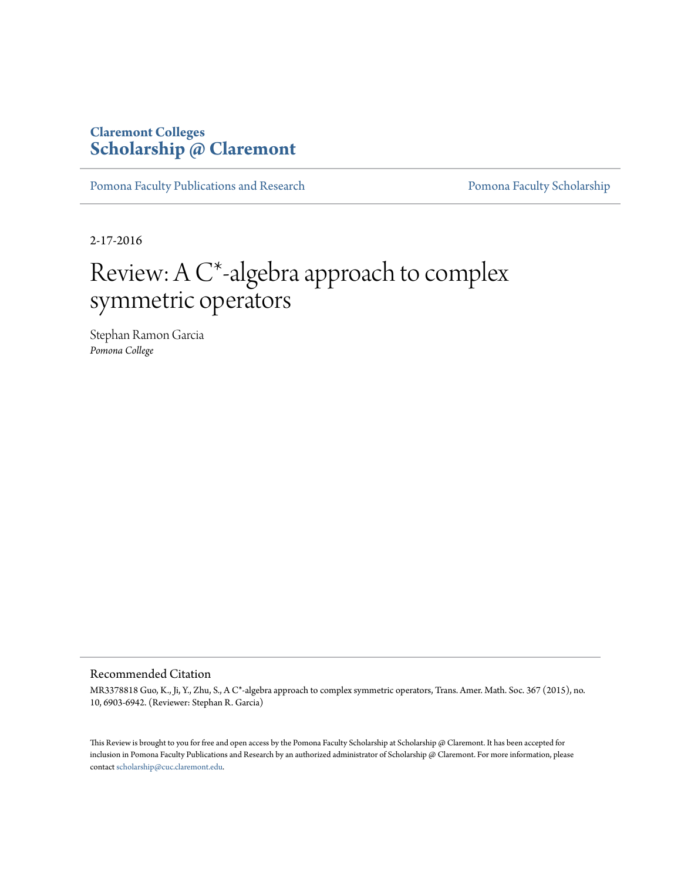## **Claremont Colleges [Scholarship @ Claremont](http://scholarship.claremont.edu)**

[Pomona Faculty Publications and Research](http://scholarship.claremont.edu/pomona_fac_pub) [Pomona Faculty Scholarship](http://scholarship.claremont.edu/pomona_faculty)

2-17-2016

# Review: A C\*-algebra approach to complex symmetric operators

Stephan Ramon Garcia *Pomona College*

#### Recommended Citation

MR3378818 Guo, K., Ji, Y., Zhu, S., A C\*-algebra approach to complex symmetric operators, Trans. Amer. Math. Soc. 367 (2015), no. 10, 6903-6942. (Reviewer: Stephan R. Garcia)

This Review is brought to you for free and open access by the Pomona Faculty Scholarship at Scholarship @ Claremont. It has been accepted for inclusion in Pomona Faculty Publications and Research by an authorized administrator of Scholarship @ Claremont. For more information, please contact [scholarship@cuc.claremont.edu](mailto:scholarship@cuc.claremont.edu).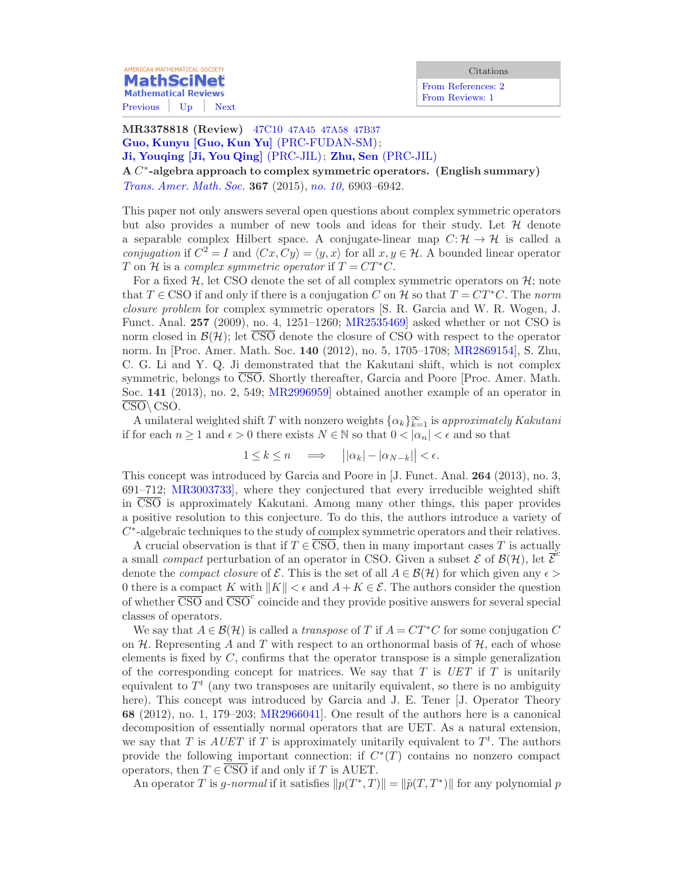**MathSciNet Mathematical Reviews** [Previous](/mathscinet/pdf/3403897.pdf?mx-pid=3378818&pg1=RVRI&pg3=authreviews&s1=726101&vfpref=html&r=2) [Up](/mathscinet/search/publications.html?mx-pid=3378818&pg1=RVRI&pg3=authreviews&s1=726101&vfpref=html&r=1) [Next](/mathscinet/pdf/3309359.pdf?mx-pid=3378818&pg1=RVRI&pg3=authreviews&s1=726101&vfpref=html&r=4)

**AMERICAN MATHEMATICAL SOCIETY** 

[From References: 2](/mathscinet/search/publications.html?refcit=3378818&loc=refcit) [From Reviews: 1](/mathscinet/search/publications.html?revcit=3378818&loc=revcit)

MR3378818 (Review) 47C10 [47A45 47A58 47B37](/mathscinet/search/mscdoc.html?code=47C10%2C%2847A45%2C47A58%2C47B37%29) [Guo, Kunyu](/mathscinet/search/publications.html?pg1=IID&s1=336678) [\[Guo, Kun Yu\]](/mathscinet/search/publications.html?pg1=IID&s1=336678) [\(PRC-FUDAN-SM\)](/mathscinet/search/institution.html?code=PRC_FUDAN_SM); [Ji, Youqing](/mathscinet/search/publications.html?pg1=IID&s1=606297) [\[Ji, You Qing\]](/mathscinet/search/publications.html?pg1=IID&s1=606297) [\(PRC-JIL\)](/mathscinet/search/institution.html?code=PRC_JIL); [Zhu, Sen](/mathscinet/search/publications.html?pg1=IID&s1=856900) [\(PRC-JIL\)](/mathscinet/search/institution.html?code=PRC_JIL) A  $C^*$ -algebra approach to complex symmetric operators. (English summary) [Trans. Amer. Math. Soc.](/mathscinet/search/journaldoc.html?&cn=Trans_Amer_Math_Soc) 367 (2015), [no. 10,](/mathscinet/search/publications.html?pg1=ISSI&s1=334826) 6903–6942.

This paper not only answers several open questions about complex symmetric operators but also provides a number of new tools and ideas for their study. Let  $\mathcal H$  denote a separable complex Hilbert space. A conjugate-linear map  $C: \mathcal{H} \to \mathcal{H}$  is called a conjugation if  $C^2 = I$  and  $\langle Cx, Cy \rangle = \langle y, x \rangle$  for all  $x, y \in \mathcal{H}$ . A bounded linear operator T on H is a complex symmetric operator if  $T = CT^*C$ .

For a fixed  $H$ , let CSO denote the set of all complex symmetric operators on  $H$ ; note that  $T \in CSO$  if and only if there is a conjugation C on H so that  $T = CT^*C$ . The norm closure problem for complex symmetric operators [S. R. Garcia and W. R. Wogen, J. Funct. Anal. 257 (2009), no. 4, 1251–1260; [MR2535469\]](/mathscinet/pdf/2535469.pdf) asked whether or not CSO is norm closed in  $\mathcal{B}(\mathcal{H})$ ; let  $\overline{\text{CSO}}$  denote the closure of CSO with respect to the operator norm. In [Proc. Amer. Math. Soc. 140 (2012), no. 5, 1705–1708; [MR2869154](/mathscinet/search/publications.html?fmt=pdf&pg1=MR&s1=2869154)], S. Zhu, C. G. Li and Y. Q. Ji demonstrated that the Kakutani shift, which is not complex symmetric, belongs to CSO. Shortly thereafter, Garcia and Poore [Proc. Amer. Math. Soc. 141 (2013), no. 2, 549; [MR2996959\]](/mathscinet/search/publications.html?fmt=pdf&pg1=MR&s1=2996959) obtained another example of an operator in  $\overline{\text{CSO}}\setminus\text{CSO}.$ 

A unilateral weighted shift T with nonzero weights  $\{\alpha_k\}_{k=1}^{\infty}$  is approximately Kakutani if for each  $n \geq 1$  and  $\epsilon > 0$  there exists  $N \in \mathbb{N}$  so that  $0 < |\alpha_n| < \epsilon$  and so that

$$
1 \le k \le n \quad \Longrightarrow \quad \left| |\alpha_k| - |\alpha_{N-k}| \right| < \epsilon.
$$

This concept was introduced by Garcia and Poore in [J. Funct. Anal. 264 (2013), no. 3, 691–712; [MR3003733](/mathscinet/search/publications.html?fmt=pdf&pg1=MR&s1=3003733)], where they conjectured that every irreducible weighted shift in CSO is approximately Kakutani. Among many other things, this paper provides a positive resolution to this conjecture. To do this, the authors introduce a variety of C<sup>\*</sup>-algebraic techniques to the study of complex symmetric operators and their relatives.

A crucial observation is that if  $T \in \overline{\text{CSO}}$ , then in many important cases T is actually a small *compact* perturbation of an operator in CSO. Given a subset  $\mathcal{E}$  of  $\mathcal{B}(\mathcal{H})$ , let  $\overline{\mathcal{E}}^c$ denote the *compact closure* of  $\mathcal{E}$ . This is the set of all  $A \in \mathcal{B}(\mathcal{H})$  for which given any  $\epsilon$ 0 there is a compact K with  $||K|| < \epsilon$  and  $A + K \in \mathcal{E}$ . The authors consider the question of whether  $\overline{\text{CSO}}$  and  $\overline{\text{CSO}}^c$  coincide and they provide positive answers for several special classes of operators.

We say that  $A \in \mathcal{B}(\mathcal{H})$  is called a *transpose* of T if  $A = CT^*C$  for some conjugation C on  $H$ . Representing A and T with respect to an orthonormal basis of  $H$ , each of whose elements is fixed by  $C$ , confirms that the operator transpose is a simple generalization of the corresponding concept for matrices. We say that  $T$  is  $UET$  if  $T$  is unitarily equivalent to  $T<sup>t</sup>$  (any two transposes are unitarily equivalent, so there is no ambiguity here). This concept was introduced by Garcia and J. E. Tener [J. Operator Theory 68 (2012), no. 1, 179–203; [MR2966041](/mathscinet/search/publications.html?fmt=pdf&pg1=MR&s1=2966041)]. One result of the authors here is a canonical decomposition of essentially normal operators that are UET. As a natural extension, we say that T is  $A U E T$  if T is approximately unitarily equivalent to  $T<sup>t</sup>$ . The authors provide the following important connection: if  $C^*(T)$  contains no nonzero compact operators, then  $T \in \overline{CSO}$  if and only if T is AUET.

An operator T is g-normal if it satisfies  $||p(T^*,T)|| = ||\tilde{p}(T,T^*)||$  for any polynomial p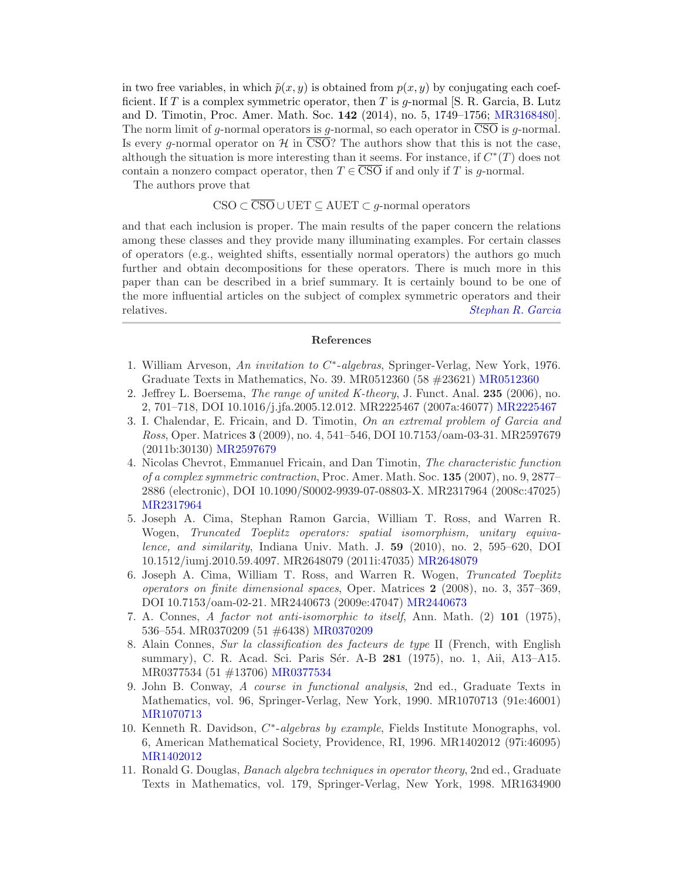in two free variables, in which  $\tilde{p}(x, y)$  is obtained from  $p(x, y)$  by conjugating each coefficient. If T is a complex symmetric operator, then T is q-normal  $[S, R, G, Z]$ . and D. Timotin, Proc. Amer. Math. Soc. 142 (2014), no. 5, 1749–1756; [MR3168480\]](/mathscinet/search/publications.html?fmt=pdf&pg1=MR&s1=3168480). The norm limit of g-normal operators is g-normal, so each operator in  $\overline{CSO}$  is g-normal. Is every g-normal operator on H in  $\overline{\text{CSO}}$ ? The authors show that this is not the case, although the situation is more interesting than it seems. For instance, if  $C^*(T)$  does not contain a nonzero compact operator, then  $T \in \overline{CSO}$  if and only if T is g-normal.

The authors prove that

### $\text{CSO} \subset \overline{\text{CSO}} \cup \text{UET} \subset \text{AUET} \subset q\text{-normal operators}$

and that each inclusion is proper. The main results of the paper concern the relations among these classes and they provide many illuminating examples. For certain classes of operators (e.g., weighted shifts, essentially normal operators) the authors go much further and obtain decompositions for these operators. There is much more in this paper than can be described in a brief summary. It is certainly bound to be one of the more influential articles on the subject of complex symmetric operators and their relatives. [Stephan R. Garcia](/mathscinet/search/publications.html?pg1=IID&s1=726101)

#### References

- 1. William Arveson, An invitation to  $C^*$ -algebras, Springer-Verlag, New York, 1976. Graduate Texts in Mathematics, No. 39. MR0512360 (58 #23621) [MR0512360](/mathscinet/pdf/512360.pdf?pg1=MR&s1=0512360&loc=fromreflist)
- 2. Jeffrey L. Boersema, The range of united K-theory, J. Funct. Anal. 235 (2006), no. 2, 701–718, DOI 10.1016/j.jfa.2005.12.012. MR2225467 (2007a:46077) [MR2225467](/mathscinet/pdf/2225467.pdf?pg1=MR&s1=2225467&loc=fromreflist)
- 3. I. Chalendar, E. Fricain, and D. Timotin, On an extremal problem of Garcia and Ross, Oper. Matrices 3 (2009), no. 4, 541–546, DOI 10.7153/oam-03-31. MR2597679 (2011b:30130) [MR2597679](/mathscinet/pdf/2597679.pdf?pg1=MR&s1=2597679&loc=fromreflist)
- 4. Nicolas Chevrot, Emmanuel Fricain, and Dan Timotin, The characteristic function of a complex symmetric contraction, Proc. Amer. Math. Soc. 135 (2007), no. 9, 2877– 2886 (electronic), DOI 10.1090/S0002-9939-07-08803-X. MR2317964 (2008c:47025) [MR2317964](/mathscinet/pdf/2317964.pdf?pg1=MR&s1=2317964&loc=fromreflist)
- 5. Joseph A. Cima, Stephan Ramon Garcia, William T. Ross, and Warren R. Wogen, Truncated Toeplitz operators: spatial isomorphism, unitary equivalence, and similarity, Indiana Univ. Math. J. 59 (2010), no. 2, 595–620, DOI 10.1512/iumj.2010.59.4097. MR2648079 (2011i:47035) [MR2648079](/mathscinet/pdf/2648079.pdf?pg1=MR&s1=2648079&loc=fromreflist)
- 6. Joseph A. Cima, William T. Ross, and Warren R. Wogen, Truncated Toeplitz operators on finite dimensional spaces, Oper. Matrices 2 (2008), no. 3, 357–369, DOI 10.7153/oam-02-21. MR2440673 (2009e:47047) [MR2440673](/mathscinet/pdf/2440673.pdf?pg1=MR&s1=2440673&loc=fromreflist)
- 7. A. Connes, A factor not anti-isomorphic to itself, Ann. Math. (2) 101 (1975), 536–554. MR0370209 (51 #6438) [MR0370209](/mathscinet/pdf/370209.pdf?pg1=MR&s1=0370209&loc=fromreflist)
- 8. Alain Connes, Sur la classification des facteurs de type II (French, with English summary), C. R. Acad. Sci. Paris Sér. A-B 281 (1975), no. 1, Aii, A13–A15. MR0377534 (51 #13706) [MR0377534](/mathscinet/pdf/377534.pdf?pg1=MR&s1=0377534&loc=fromreflist)
- 9. John B. Conway, A course in functional analysis, 2nd ed., Graduate Texts in Mathematics, vol. 96, Springer-Verlag, New York, 1990. MR1070713 (91e:46001) [MR1070713](/mathscinet/pdf/1070713.pdf?pg1=MR&s1=1070713&loc=fromreflist)
- 10. Kenneth R. Davidson, C<sup>\*</sup>-algebras by example, Fields Institute Monographs, vol. 6, American Mathematical Society, Providence, RI, 1996. MR1402012 (97i:46095) [MR1402012](/mathscinet/pdf/1402012.pdf?pg1=MR&s1=1402012&loc=fromreflist)
- 11. Ronald G. Douglas, Banach algebra techniques in operator theory, 2nd ed., Graduate Texts in Mathematics, vol. 179, Springer-Verlag, New York, 1998. MR1634900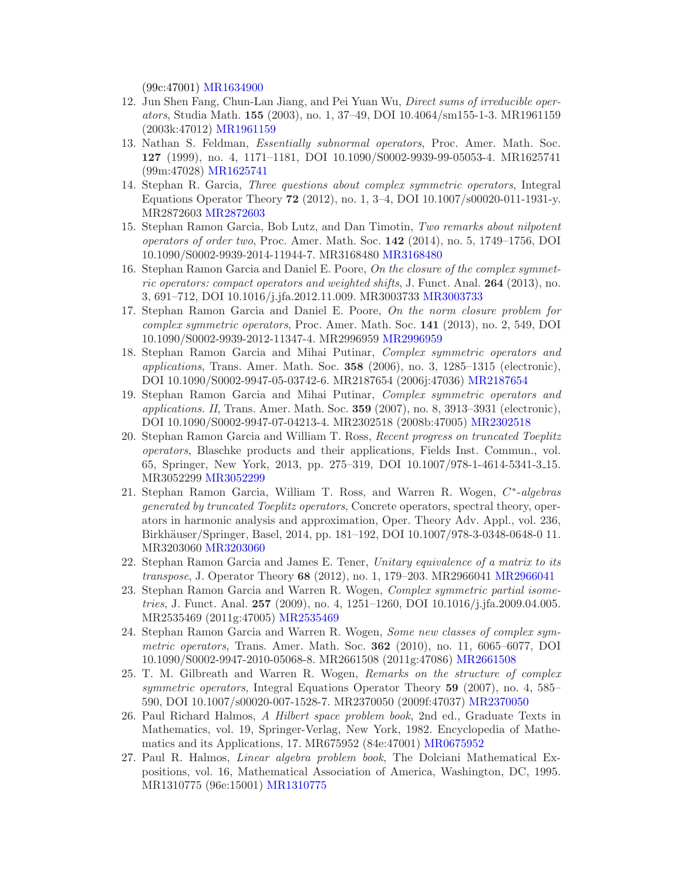(99c:47001) [MR1634900](/mathscinet/pdf/1634900.pdf?pg1=MR&s1=1634900&loc=fromreflist)

- 12. Jun Shen Fang, Chun-Lan Jiang, and Pei Yuan Wu, Direct sums of irreducible operators, Studia Math. 155 (2003), no. 1, 37–49, DOI 10.4064/sm155-1-3. MR1961159 (2003k:47012) [MR1961159](/mathscinet/pdf/1961159.pdf?pg1=MR&s1=1961159&loc=fromreflist)
- 13. Nathan S. Feldman, Essentially subnormal operators, Proc. Amer. Math. Soc. 127 (1999), no. 4, 1171–1181, DOI 10.1090/S0002-9939-99-05053-4. MR1625741 (99m:47028) [MR1625741](/mathscinet/pdf/1625741.pdf?pg1=MR&s1=1625741&loc=fromreflist)
- 14. Stephan R. Garcia, Three questions about complex symmetric operators, Integral Equations Operator Theory 72 (2012), no. 1, 3–4, DOI 10.1007/s00020-011-1931-y. MR2872603 [MR2872603](/mathscinet/pdf/2872603.pdf?pg1=MR&s1=2872603&loc=fromreflist)
- 15. Stephan Ramon Garcia, Bob Lutz, and Dan Timotin, Two remarks about nilpotent operators of order two, Proc. Amer. Math. Soc. 142 (2014), no. 5, 1749–1756, DOI 10.1090/S0002-9939-2014-11944-7. MR3168480 [MR3168480](/mathscinet/pdf/3168480.pdf?pg1=MR&s1=3168480&loc=fromreflist)
- 16. Stephan Ramon Garcia and Daniel E. Poore, On the closure of the complex symmetric operators: compact operators and weighted shifts, J. Funct. Anal.  $264$  (2013), no. 3, 691–712, DOI 10.1016/j.jfa.2012.11.009. MR3003733 [MR3003733](/mathscinet/pdf/3003733.pdf?pg1=MR&s1=3003733&loc=fromreflist)
- 17. Stephan Ramon Garcia and Daniel E. Poore, On the norm closure problem for complex symmetric operators, Proc. Amer. Math. Soc. 141 (2013), no. 2, 549, DOI 10.1090/S0002-9939-2012-11347-4. MR2996959 [MR2996959](/mathscinet/pdf/2996959.pdf?pg1=MR&s1=2996959&loc=fromreflist)
- 18. Stephan Ramon Garcia and Mihai Putinar, Complex symmetric operators and applications, Trans. Amer. Math. Soc.  $358$  (2006), no. 3, 1285–1315 (electronic), DOI 10.1090/S0002-9947-05-03742-6. MR2187654 (2006j:47036) [MR2187654](/mathscinet/pdf/2187654.pdf?pg1=MR&s1=2187654&loc=fromreflist)
- 19. Stephan Ramon Garcia and Mihai Putinar, Complex symmetric operators and applications. II, Trans. Amer. Math. Soc.  $359$  (2007), no. 8, 3913–3931 (electronic), DOI 10.1090/S0002-9947-07-04213-4. MR2302518 (2008b:47005) [MR2302518](/mathscinet/pdf/2302518.pdf?pg1=MR&s1=2302518&loc=fromreflist)
- 20. Stephan Ramon Garcia and William T. Ross, Recent progress on truncated Toeplitz operators, Blaschke products and their applications, Fields Inst. Commun., vol. 65, Springer, New York, 2013, pp. 275–319, DOI 10.1007/978-1-4614-5341-3 15. MR3052299 [MR3052299](/mathscinet/pdf/3052299.pdf?pg1=MR&s1=3052299&loc=fromreflist)
- 21. Stephan Ramon Garcia, William T. Ross, and Warren R. Wogen, C<sup>\*</sup>-algebras generated by truncated Toeplitz operators, Concrete operators, spectral theory, operators in harmonic analysis and approximation, Oper. Theory Adv. Appl., vol. 236, Birkh¨auser/Springer, Basel, 2014, pp. 181–192, DOI 10.1007/978-3-0348-0648-0 11. MR3203060 [MR3203060](/mathscinet/pdf/3203060.pdf?pg1=MR&s1=3203060&loc=fromreflist)
- 22. Stephan Ramon Garcia and James E. Tener, Unitary equivalence of a matrix to its transpose, J. Operator Theory 68 (2012), no. 1, 179–203. MR2966041 [MR2966041](/mathscinet/pdf/2966041.pdf?pg1=MR&s1=2966041&loc=fromreflist)
- 23. Stephan Ramon Garcia and Warren R. Wogen, Complex symmetric partial isometries, J. Funct. Anal. 257 (2009), no. 4, 1251–1260, DOI 10.1016/j.jfa.2009.04.005. MR2535469 (2011g:47005) [MR2535469](/mathscinet/pdf/2535469.pdf?pg1=MR&s1=2535469&loc=fromreflist)
- 24. Stephan Ramon Garcia and Warren R. Wogen, Some new classes of complex symmetric operators, Trans. Amer. Math. Soc.  $362$  (2010), no. 11, 6065–6077, DOI 10.1090/S0002-9947-2010-05068-8. MR2661508 (2011g:47086) [MR2661508](/mathscinet/pdf/2661508.pdf?pg1=MR&s1=2661508&loc=fromreflist)
- 25. T. M. Gilbreath and Warren R. Wogen, Remarks on the structure of complex symmetric operators, Integral Equations Operator Theory 59 (2007), no. 4, 585– 590, DOI 10.1007/s00020-007-1528-7. MR2370050 (2009f:47037) [MR2370050](/mathscinet/pdf/2370050.pdf?pg1=MR&s1=2370050&loc=fromreflist)
- 26. Paul Richard Halmos, A Hilbert space problem book, 2nd ed., Graduate Texts in Mathematics, vol. 19, Springer-Verlag, New York, 1982. Encyclopedia of Mathematics and its Applications, 17. MR675952 (84e:47001) [MR0675952](/mathscinet/pdf/675952.pdf?pg1=MR&s1=0675952&loc=fromreflist)
- 27. Paul R. Halmos, Linear algebra problem book, The Dolciani Mathematical Expositions, vol. 16, Mathematical Association of America, Washington, DC, 1995. MR1310775 (96e:15001) [MR1310775](/mathscinet/pdf/1310775.pdf?pg1=MR&s1=1310775&loc=fromreflist)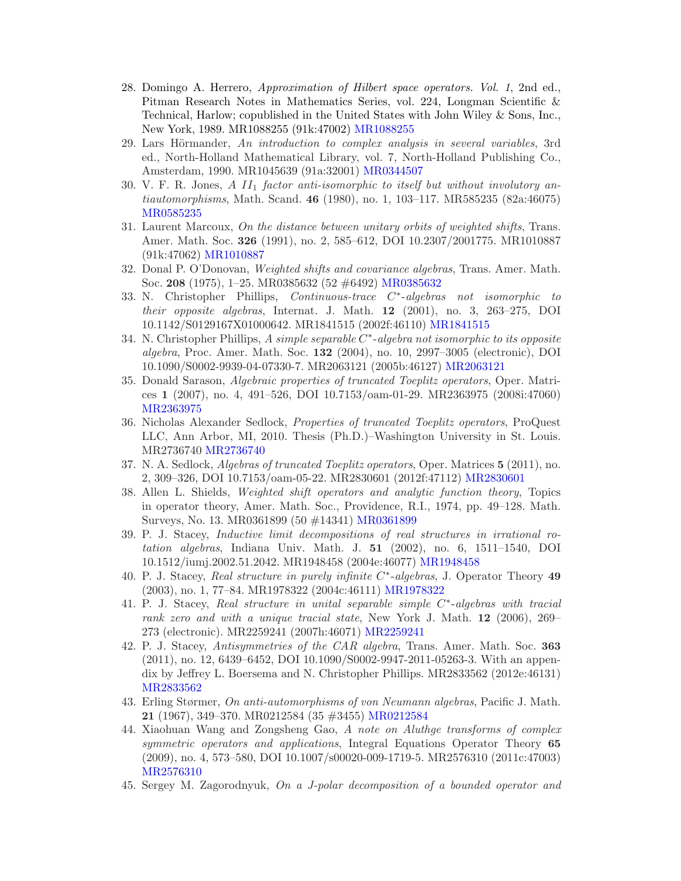- 28. Domingo A. Herrero, Approximation of Hilbert space operators. Vol. 1, 2nd ed., Pitman Research Notes in Mathematics Series, vol. 224, Longman Scientific & Technical, Harlow; copublished in the United States with John Wiley & Sons, Inc., New York, 1989. MR1088255 (91k:47002) [MR1088255](/mathscinet/pdf/1088255.pdf?pg1=MR&s1=1088255&loc=fromreflist)
- 29. Lars Hörmander, An introduction to complex analysis in several variables, 3rd ed., North-Holland Mathematical Library, vol. 7, North-Holland Publishing Co., Amsterdam, 1990. MR1045639 (91a:32001) [MR0344507](/mathscinet/pdf/344507.pdf?pg1=MR&s1=0344507&loc=fromreflist)
- 30. V. F. R. Jones,  $A II_1$  factor anti-isomorphic to itself but without involutory antiautomorphisms, Math. Scand. 46 (1980), no. 1, 103–117. MR585235 (82a:46075) [MR0585235](/mathscinet/pdf/585235.pdf?pg1=MR&s1=0585235&loc=fromreflist)
- 31. Laurent Marcoux, On the distance between unitary orbits of weighted shifts, Trans. Amer. Math. Soc. 326 (1991), no. 2, 585–612, DOI 10.2307/2001775. MR1010887 (91k:47062) [MR1010887](/mathscinet/pdf/1010887.pdf?pg1=MR&s1=1010887&loc=fromreflist)
- 32. Donal P. O'Donovan, Weighted shifts and covariance algebras, Trans. Amer. Math. Soc. 208 (1975), 1–25. MR0385632 (52 #6492) [MR0385632](/mathscinet/pdf/385632.pdf?pg1=MR&s1=0385632&loc=fromreflist)
- 33. N. Christopher Phillips, Continuous-trace C<sup>\*</sup>-algebras not isomorphic to their opposite algebras, Internat. J. Math. 12 (2001), no. 3, 263–275, DOI 10.1142/S0129167X01000642. MR1841515 (2002f:46110) [MR1841515](/mathscinet/pdf/1841515.pdf?pg1=MR&s1=1841515&loc=fromreflist)
- 34. N. Christopher Phillips, A simple separable C<sup>\*</sup>-algebra not isomorphic to its opposite algebra, Proc. Amer. Math. Soc. 132 (2004), no. 10, 2997–3005 (electronic), DOI 10.1090/S0002-9939-04-07330-7. MR2063121 (2005b:46127) [MR2063121](/mathscinet/pdf/2063121.pdf?pg1=MR&s1=2063121&loc=fromreflist)
- 35. Donald Sarason, Algebraic properties of truncated Toeplitz operators, Oper. Matrices 1 (2007), no. 4, 491–526, DOI 10.7153/oam-01-29. MR2363975 (2008i:47060) [MR2363975](/mathscinet/pdf/2363975.pdf?pg1=MR&s1=2363975&loc=fromreflist)
- 36. Nicholas Alexander Sedlock, Properties of truncated Toeplitz operators, ProQuest LLC, Ann Arbor, MI, 2010. Thesis (Ph.D.)–Washington University in St. Louis. MR2736740 [MR2736740](/mathscinet/pdf/2736740.pdf?pg1=MR&s1=2736740&loc=fromreflist)
- 37. N. A. Sedlock, Algebras of truncated Toeplitz operators, Oper. Matrices 5 (2011), no. 2, 309–326, DOI 10.7153/oam-05-22. MR2830601 (2012f:47112) [MR2830601](/mathscinet/pdf/2830601.pdf?pg1=MR&s1=2830601&loc=fromreflist)
- 38. Allen L. Shields, Weighted shift operators and analytic function theory, Topics in operator theory, Amer. Math. Soc., Providence, R.I., 1974, pp. 49–128. Math. Surveys, No. 13. MR0361899 (50 #14341) [MR0361899](/mathscinet/pdf/361899.pdf?pg1=MR&s1=0361899&loc=fromreflist)
- 39. P. J. Stacey, Inductive limit decompositions of real structures in irrational rotation algebras, Indiana Univ. Math. J. 51 (2002), no. 6, 1511–1540, DOI 10.1512/iumj.2002.51.2042. MR1948458 (2004e:46077) [MR1948458](/mathscinet/pdf/1948458.pdf?pg1=MR&s1=1948458&loc=fromreflist)
- 40. P. J. Stacey, Real structure in purely infinite C<sup>\*</sup>-algebras, J. Operator Theory 49 (2003), no. 1, 77–84. MR1978322 (2004c:46111) [MR1978322](/mathscinet/pdf/1978322.pdf?pg1=MR&s1=1978322&loc=fromreflist)
- 41. P. J. Stacey, Real structure in unital separable simple  $C^*$ -algebras with tracial rank zero and with a unique tracial state, New York J. Math. 12 (2006), 269– 273 (electronic). MR2259241 (2007h:46071) [MR2259241](/mathscinet/pdf/2259241.pdf?pg1=MR&s1=2259241&loc=fromreflist)
- 42. P. J. Stacey, Antisymmetries of the CAR algebra, Trans. Amer. Math. Soc. 363 (2011), no. 12, 6439–6452, DOI 10.1090/S0002-9947-2011-05263-3. With an appendix by Jeffrey L. Boersema and N. Christopher Phillips. MR2833562 (2012e:46131) [MR2833562](/mathscinet/pdf/2833562.pdf?pg1=MR&s1=2833562&loc=fromreflist)
- 43. Erling Størmer, On anti-automorphisms of von Neumann algebras, Pacific J. Math. 21 (1967), 349–370. MR0212584 (35 #3455) [MR0212584](/mathscinet/pdf/212584.pdf?pg1=MR&s1=0212584&loc=fromreflist)
- 44. Xiaohuan Wang and Zongsheng Gao, A note on Aluthge transforms of complex symmetric operators and applications, Integral Equations Operator Theory 65 (2009), no. 4, 573–580, DOI 10.1007/s00020-009-1719-5. MR2576310 (2011c:47003) [MR2576310](/mathscinet/pdf/2576310.pdf?pg1=MR&s1=2576310&loc=fromreflist)
- 45. Sergey M. Zagorodnyuk, On a J-polar decomposition of a bounded operator and